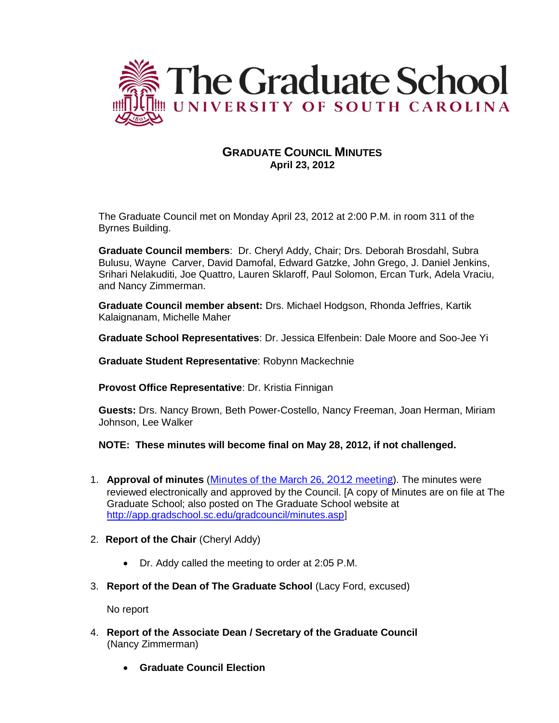

# **GRADUATE COUNCIL MINUTES April 23, 2012**

The Graduate Council met on Monday April 23, 2012 at 2:00 P.M. in room 311 of the Byrnes Building.

**Graduate Council members**: Dr. Cheryl Addy, Chair; Drs. Deborah Brosdahl, Subra Bulusu, Wayne Carver, David Damofal, Edward Gatzke, John Grego, J. Daniel Jenkins, Srihari Nelakuditi, Joe Quattro, Lauren Sklaroff, Paul Solomon, Ercan Turk, Adela Vraciu, and Nancy Zimmerman.

**Graduate Council member absent:** Drs. Michael Hodgson, Rhonda Jeffries, Kartik Kalaignanam, Michelle Maher

**Graduate School Representatives**: Dr. Jessica Elfenbein: Dale Moore and Soo-Jee Yi

**Graduate Student Representative**: Robynn Mackechnie

**Provost Office Representative**: Dr. Kristia Finnigan

**Guests:** Drs. Nancy Brown, Beth Power-Costello, Nancy Freeman, Joan Herman, Miriam Johnson, Lee Walker

**NOTE: These minutes will become final on May 28, 2012, if not challenged.**

- 1. **Approval of minutes** (Minutes of the March 26[, 2012 meeting](http://app.gradschool.sc.edu/includes/filedownload-public.asp?location=E:/GMS/GRADCOUNCIL/2011/GCMinutes032612.pdf&file_name=GCMinutes032612.pdf)). The minutes were reviewed electronically and approved by the Council. [A copy of Minutes are on file at The Graduate School; also posted on The Graduate School website at <http://app.gradschool.sc.edu/gradcouncil/minutes.asp>]
- 2. **Report of the Chair** (Cheryl Addy)
	- Dr. Addy called the meeting to order at 2:05 P.M.
- 3. **Report of the Dean of The Graduate School** (Lacy Ford, excused)

No report

- 4. **Report of the Associate Dean / Secretary of the Graduate Council** (Nancy Zimmerman)
	- **Graduate Council Election**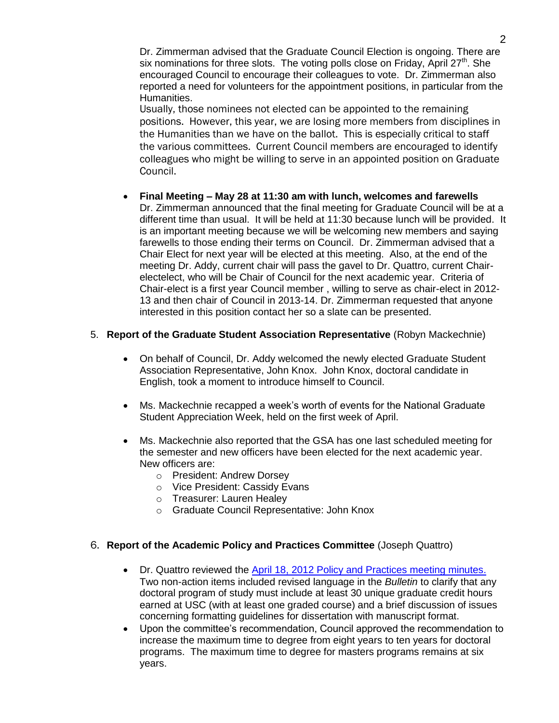Dr. Zimmerman advised that the Graduate Council Election is ongoing. There are six nominations for three slots. The voting polls close on Friday, April 27<sup>th</sup>. She encouraged Council to encourage their colleagues to vote. Dr. Zimmerman also reported a need for volunteers for the appointment positions, in particular from the Humanities.

Usually, those nominees not elected can be appointed to the remaining positions. However, this year, we are losing more members from disciplines in the Humanities than we have on the ballot. This is especially critical to staff the various committees. Current Council members are encouraged to identify colleagues who might be willing to serve in an appointed position on Graduate Council.

 **Final Meeting – May 28 at 11:30 am with lunch, welcomes and farewells** Dr. Zimmerman announced that the final meeting for Graduate Council will be at a different time than usual. It will be held at 11:30 because lunch will be provided. It is an important meeting because we will be welcoming new members and saying farewells to those ending their terms on Council. Dr. Zimmerman advised that a Chair Elect for next year will be elected at this meeting. Also, at the end of the meeting Dr. Addy, current chair will pass the gavel to Dr. Quattro, current Chairelectelect, who will be Chair of Council for the next academic year. Criteria of Chair-elect is a first year Council member , willing to serve as chair-elect in 2012- 13 and then chair of Council in 2013-14. Dr. Zimmerman requested that anyone interested in this position contact her so a slate can be presented.

# 5. **Report of the Graduate Student Association Representative** (Robyn Mackechnie)

- On behalf of Council, Dr. Addy welcomed the newly elected Graduate Student Association Representative, John Knox. John Knox, doctoral candidate in English, took a moment to introduce himself to Council.
- Ms. Mackechnie recapped a week's worth of events for the National Graduate Student Appreciation Week, held on the first week of April.
- Ms. Mackechnie also reported that the GSA has one last scheduled meeting for the semester and new officers have been elected for the next academic year. New officers are:
	- o President: Andrew Dorsey
	- o Vice President: Cassidy Evans
	- o Treasurer: Lauren Healey
	- o Graduate Council Representative: John Knox

# 6. **Report of the Academic Policy and Practices Committee** (Joseph Quattro)

- Dr. Quattro reviewed the [April 18, 2012 Policy and Practices meeting minutes.](file://cogrdsweb/gradcouncil/docs/Attachments/P&P041812.pdf) Two non-action items included revised language in the *Bulletin* to clarify that any doctoral program of study must include at least 30 unique graduate credit hours earned at USC (with at least one graded course) and a brief discussion of issues concerning formatting guidelines for dissertation with manuscript format.
- Upon the committee's recommendation, Council approved the recommendation to increase the maximum time to degree from eight years to ten years for doctoral programs. The maximum time to degree for masters programs remains at six years.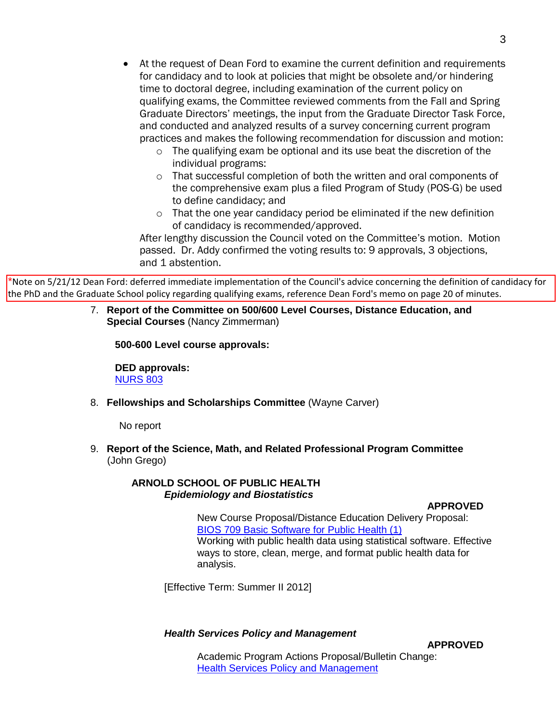- At the request of Dean Ford to examine the current definition and requirements for candidacy and to look at policies that might be obsolete and/or hindering time to doctoral degree, including examination of the current policy on qualifying exams, the Committee reviewed comments from the Fall and Spring Graduate Directors' meetings, the input from the Graduate Director Task Force, and conducted and analyzed results of a survey concerning current program practices and makes the following recommendation for discussion and motion:
	- o The qualifying exam be optional and its use beat the discretion of the individual programs:
	- o That successful completion of both the written and oral components of the comprehensive exam plus a filed Program of Study (POS-G) be used to define candidacy; and
	- o That the one year candidacy period be eliminated if the new definition of candidacy is recommended/approved.

After lengthy discussion the Council voted on the Committee's motion. Motion passed. Dr. Addy confirmed the voting results to: 9 approvals, 3 objections, and 1 abstention.

\*Note on 5/21/12 Dean Ford: deferred immediate implementation of the Council's advice concerning the definition of candidacy for the PhD and the Graduate School policy regarding qualifying exams, reference Dean Ford's memo on page 20 of minutes.

> 7. **Report of the Committee on 500/600 Level Courses, Distance Education, and Special Courses** (Nancy Zimmerman)

**500-600 Level course approvals:**

**DED approvals:** [NURS 803](http://app.gradschool.sc.edu/includes/filedownload-public.asp?location=E:/GMS/GRADCOUNCIL/2011/DEDNURS803_201211.pdf&file_name=DEDNURS803_201211.pdf)

8. **Fellowships and Scholarships Committee** (Wayne Carver)

No report

9. **Report of the Science, Math, and Related Professional Program Committee** (John Grego)

# **ARNOLD SCHOOL OF PUBLIC HEALTH** *Epidemiology and Biostatistics*

**APPROVED**

New Course Proposal/Distance Education Delivery Proposal: [BIOS 709 Basic Software for Public Health \(1\)](http://app.gradschool.sc.edu/includes/filedownload-public.asp?location=E:/GMS/GRADCOUNCIL/2011/NCPBIOS709_201211.pdf&file_name=NCPBIOS709_201211.pdf) Working with public health data using statistical software. Effective ways to store, clean, merge, and format public health data for analysis.

[Effective Term: Summer II 2012]

# *Health Services Policy and Management*

**APPROVED**

Academic Program Actions Proposal/Bulletin Change: [Health Services Policy and Management](http://app.gradschool.sc.edu/includes/filedownload-public.asp?location=E:/GMS/GRADCOUNCIL/2011/APA%20MHA%20final.pdf&file_name=APA%20MHA%20final.pdf)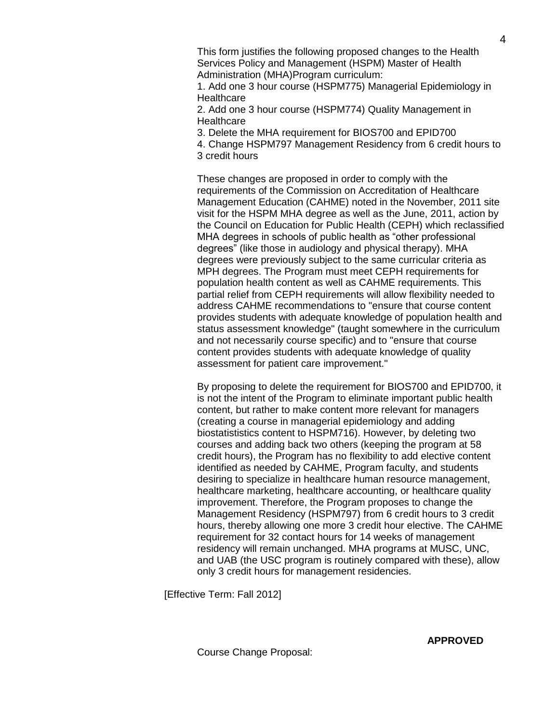This form justifies the following proposed changes to the Health Services Policy and Management (HSPM) Master of Health Administration (MHA)Program curriculum:

1. Add one 3 hour course (HSPM775) Managerial Epidemiology in **Healthcare** 

2. Add one 3 hour course (HSPM774) Quality Management in **Healthcare** 

3. Delete the MHA requirement for BIOS700 and EPID700

4. Change HSPM797 Management Residency from 6 credit hours to 3 credit hours

These changes are proposed in order to comply with the requirements of the Commission on Accreditation of Healthcare Management Education (CAHME) noted in the November, 2011 site visit for the HSPM MHA degree as well as the June, 2011, action by the Council on Education for Public Health (CEPH) which reclassified MHA degrees in schools of public health as "other professional degrees" (like those in audiology and physical therapy). MHA degrees were previously subject to the same curricular criteria as MPH degrees. The Program must meet CEPH requirements for population health content as well as CAHME requirements. This partial relief from CEPH requirements will allow flexibility needed to address CAHME recommendations to "ensure that course content provides students with adequate knowledge of population health and status assessment knowledge" (taught somewhere in the curriculum and not necessarily course specific) and to "ensure that course content provides students with adequate knowledge of quality assessment for patient care improvement."

By proposing to delete the requirement for BIOS700 and EPID700, it is not the intent of the Program to eliminate important public health content, but rather to make content more relevant for managers (creating a course in managerial epidemiology and adding biostatististics content to HSPM716). However, by deleting two courses and adding back two others (keeping the program at 58 credit hours), the Program has no flexibility to add elective content identified as needed by CAHME, Program faculty, and students desiring to specialize in healthcare human resource management, healthcare marketing, healthcare accounting, or healthcare quality improvement. Therefore, the Program proposes to change the Management Residency (HSPM797) from 6 credit hours to 3 credit hours, thereby allowing one more 3 credit hour elective. The CAHME requirement for 32 contact hours for 14 weeks of management residency will remain unchanged. MHA programs at MUSC, UNC, and UAB (the USC program is routinely compared with these), allow only 3 credit hours for management residencies.

[Effective Term: Fall 2012]

4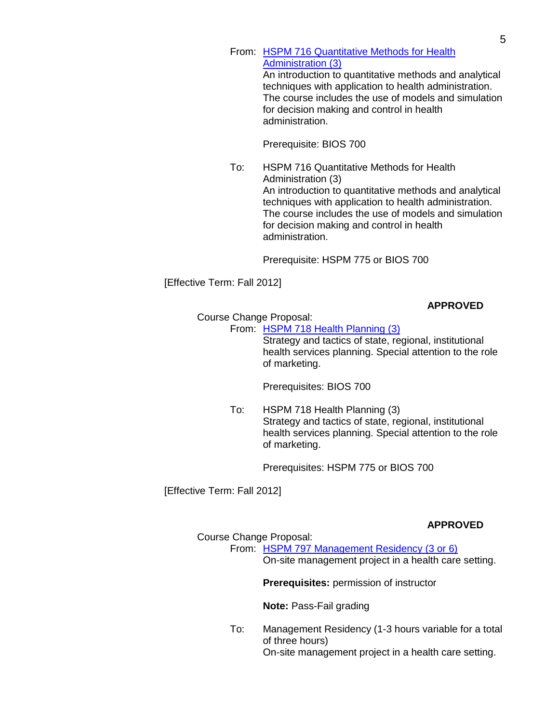From: [HSPM 716 Quantitative Methods for Health](http://app.gradschool.sc.edu/includes/filedownload-public.asp?location=E:/GMS/GRADCOUNCIL/2011/CCPHSPM716_201211.pdf&file_name=CCPHSPM716_201211.pdf) [Administration \(3\)](http://app.gradschool.sc.edu/includes/filedownload-public.asp?location=E:/GMS/GRADCOUNCIL/2011/CCPHSPM716_201211.pdf&file_name=CCPHSPM716_201211.pdf) An introduction to quantitative methods and analytical techniques with application to health administration. The course includes the use of models and simulation for decision making and control in health

administration.

Prerequisite: BIOS 700

To: HSPM 716 Quantitative Methods for Health Administration (3) An introduction to quantitative methods and analytical techniques with application to health administration. The course includes the use of models and simulation for decision making and control in health administration.

Prerequisite: HSPM 775 or BIOS 700

## [Effective Term: Fall 2012]

## **APPROVED**

Course Change Proposal:

From: [HSPM 718 Health Planning](http://app.gradschool.sc.edu/includes/filedownload-public.asp?location=E:/GMS/GRADCOUNCIL/2011/CCPHSPM718_201211.pdf&file_name=CCPHSPM718_201211.pdf) (3)

Strategy and tactics of state, regional, institutional health services planning. Special attention to the role of marketing.

Prerequisites: BIOS 700

To: HSPM 718 Health Planning (3) Strategy and tactics of state, regional, institutional health services planning. Special attention to the role of marketing.

Prerequisites: HSPM 775 or BIOS 700

[Effective Term: Fall 2012]

# **APPROVED**

## Course Change Proposal:

From: [HSPM 797 Management Residency \(3 or 6\)](http://app.gradschool.sc.edu/includes/filedownload-public.asp?location=E:/GMS/GRADCOUNCIL/2011/CCP%20HSPM%20797%20%20revised%2015%20April.pdf&file_name=CCP%20HSPM%20797%20%20revised%2015%20April.pdf) On-site management project in a health care setting.

**Prerequisites:** permission of instructor

**Note:** Pass-Fail grading

To: Management Residency (1-3 hours variable for a total of three hours) On-site management project in a health care setting.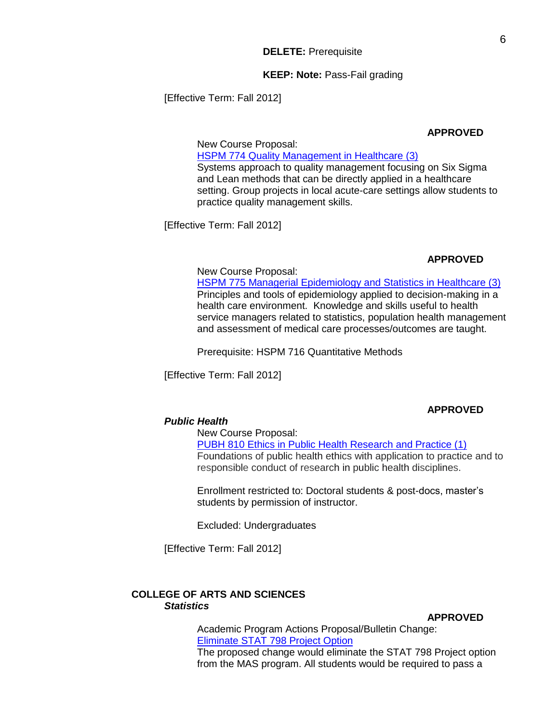#### **KEEP: Note:** Pass-Fail grading

[Effective Term: Fall 2012]

#### **APPROVED**

New Course Proposal: HSPM 774 Quality [Management in Healthcare \(3\)](http://app.gradschool.sc.edu/includes/filedownload-public.asp?location=E:/GMS/GRADCOUNCIL/2011/NCPHSPM774_201211.pdf&file_name=NCPHSPM774_201211.pdf) Systems approach to quality management focusing on Six Sigma and Lean methods that can be directly applied in a healthcare setting. Group projects in local acute-care settings allow students to practice quality management skills.

[Effective Term: Fall 2012]

### **APPROVED**

# New Course Proposal:

[HSPM 775 Managerial Epidemiology and Statistics in Healthcare \(3\)](http://app.gradschool.sc.edu/includes/filedownload-public.asp?location=E:/GMS/GRADCOUNCIL/2011/NCPHSPM775_201211.pdf&file_name=NCPHSPM775_201211.pdf) Principles and tools of epidemiology applied to decision-making in a health care environment. Knowledge and skills useful to health service managers related to statistics, population health management and assessment of medical care processes/outcomes are taught.

Prerequisite: HSPM 716 Quantitative Methods

[Effective Term: Fall 2012]

## **APPROVED**

# *Public Health*

## New Course Proposal:

[PUBH 810 Ethics in Public Health Research and Practice \(1\)](http://app.gradschool.sc.edu/includes/filedownload-public.asp?location=E:/GMS/GRADCOUNCIL/2011/NCPPUBH810_201211.pdf&file_name=NCPPUBH810_201211.pdf) Foundations of public health ethics with application to practice and to responsible conduct of research in public health disciplines.

Enrollment restricted to: Doctoral students & post-docs, master's students by permission of instructor.

Excluded: Undergraduates

[Effective Term: Fall 2012]

## **COLLEGE OF ARTS AND SCIENCES** *Statistics*

**APPROVED**

Academic Program Actions Proposal/Bulletin Change: [Eliminate STAT 798 Project Option](http://app.gradschool.sc.edu/includes/filedownload-public.asp?location=E:/GMS/GRADCOUNCIL/2011/APASTATPROJOPT_201211.pdf&file_name=APASTATPROJOPT_201211.pdf) The proposed change would eliminate the STAT 798 Project option from the MAS program. All students would be required to pass a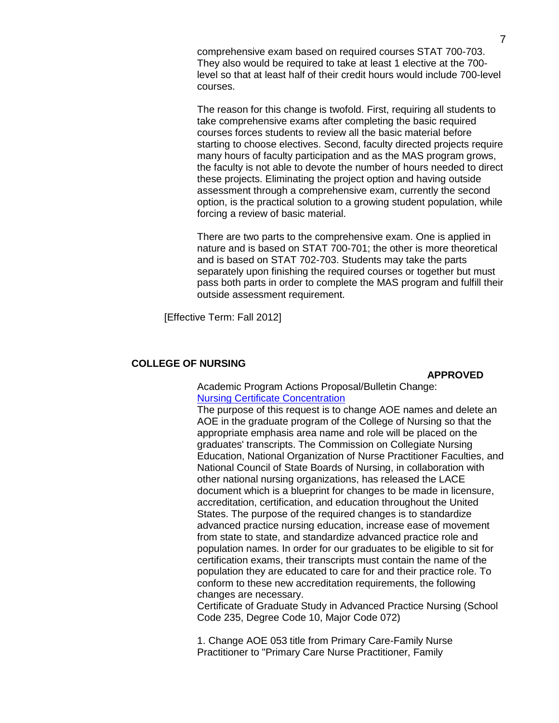comprehensive exam based on required courses STAT 700-703. They also would be required to take at least 1 elective at the 700 level so that at least half of their credit hours would include 700-level courses.

The reason for this change is twofold. First, requiring all students to take comprehensive exams after completing the basic required courses forces students to review all the basic material before starting to choose electives. Second, faculty directed projects require many hours of faculty participation and as the MAS program grows, the faculty is not able to devote the number of hours needed to direct these projects. Eliminating the project option and having outside assessment through a comprehensive exam, currently the second option, is the practical solution to a growing student population, while forcing a review of basic material.

There are two parts to the comprehensive exam. One is applied in nature and is based on STAT 700-701; the other is more theoretical and is based on STAT 702-703. Students may take the parts separately upon finishing the required courses or together but must pass both parts in order to complete the MAS program and fulfill their outside assessment requirement.

[Effective Term: Fall 2012]

## **COLLEGE OF NURSING**

#### **APPROVED**

Academic Program Actions Proposal/Bulletin Change: [Nursing Certificate Concentration](http://app.gradschool.sc.edu/includes/filedownload-public.asp?location=E:/GMS/GRADCOUNCIL/2011/APANURSCERT_201211.pdf&file_name=APANURSCERT_201211.pdf)

The purpose of this request is to change AOE names and delete an AOE in the graduate program of the College of Nursing so that the appropriate emphasis area name and role will be placed on the graduates' transcripts. The Commission on Collegiate Nursing Education, National Organization of Nurse Practitioner Faculties, and National Council of State Boards of Nursing, in collaboration with other national nursing organizations, has released the LACE document which is a blueprint for changes to be made in licensure, accreditation, certification, and education throughout the United States. The purpose of the required changes is to standardize advanced practice nursing education, increase ease of movement from state to state, and standardize advanced practice role and population names. In order for our graduates to be eligible to sit for certification exams, their transcripts must contain the name of the population they are educated to care for and their practice role. To conform to these new accreditation requirements, the following changes are necessary.

Certificate of Graduate Study in Advanced Practice Nursing (School Code 235, Degree Code 10, Major Code 072)

1. Change AOE 053 title from Primary Care-Family Nurse Practitioner to "Primary Care Nurse Practitioner, Family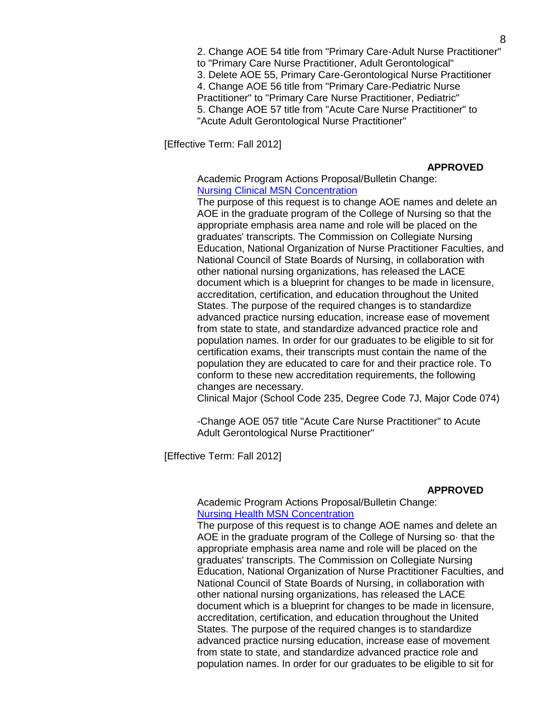2. Change AOE 54 title from "Primary Care-Adult Nurse Practitioner" to "Primary Care Nurse Practitioner, Adult Gerontological" 3. Delete AOE 55, Primary Care-Gerontological Nurse Practitioner 4. Change AOE 56 title from "Primary Care-Pediatric Nurse Practitioner" to "Primary Care Nurse Practitioner, Pediatric" 5. Change AOE 57 title from "Acute Care Nurse Practitioner" to "Acute Adult Gerontological Nurse Practitioner"

[Effective Term: Fall 2012]

#### **APPROVED**

Academic Program Actions Proposal/Bulletin Change: [Nursing Clinical MSN Concentration](http://app.gradschool.sc.edu/includes/filedownload-public.asp?location=E:/GMS/GRADCOUNCIL/2011/APANURSCMSN_201211.pdf&file_name=APANURSCMSN_201211.pdf)

The purpose of this request is to change AOE names and delete an AOE in the graduate program of the College of Nursing so that the appropriate emphasis area name and role will be placed on the graduates' transcripts. The Commission on Collegiate Nursing Education, National Organization of Nurse Practitioner Faculties, and National Council of State Boards of Nursing, in collaboration with other national nursing organizations, has released the LACE document which is a blueprint for changes to be made in licensure, accreditation, certification, and education throughout the United States. The purpose of the required changes is to standardize advanced practice nursing education, increase ease of movement from state to state, and standardize advanced practice role and population names. In order for our graduates to be eligible to sit for certification exams, their transcripts must contain the name of the population they are educated to care for and their practice role. To conform to these new accreditation requirements, the following changes are necessary.

Clinical Major (School Code 235, Degree Code 7J, Major Code 074)

-Change AOE 057 title "Acute Care Nurse Practitioner" to Acute Adult Gerontological Nurse Practitioner"

[Effective Term: Fall 2012]

#### **APPROVED**

### Academic Program Actions Proposal/Bulletin Change: [Nursing Health MSN Concentration](http://app.gradschool.sc.edu/includes/filedownload-public.asp?location=E:/GMS/GRADCOUNCIL/2011/APANURSHMSN_201211.pdf&file_name=APANURSHMSN_201211.pdf)

The purpose of this request is to change AOE names and delete an AOE in the graduate program of the College of Nursing so· that the appropriate emphasis area name and role will be placed on the graduates' transcripts. The Commission on Collegiate Nursing Education, National Organization of Nurse Practitioner Faculties, and National Council of State Boards of Nursing, in collaboration with other national nursing organizations, has released the LACE document which is a blueprint for changes to be made in licensure, accreditation, certification, and education throughout the United States. The purpose of the required changes is to standardize advanced practice nursing education, increase ease of movement from state to state, and standardize advanced practice role and population names. In order for our graduates to be eligible to sit for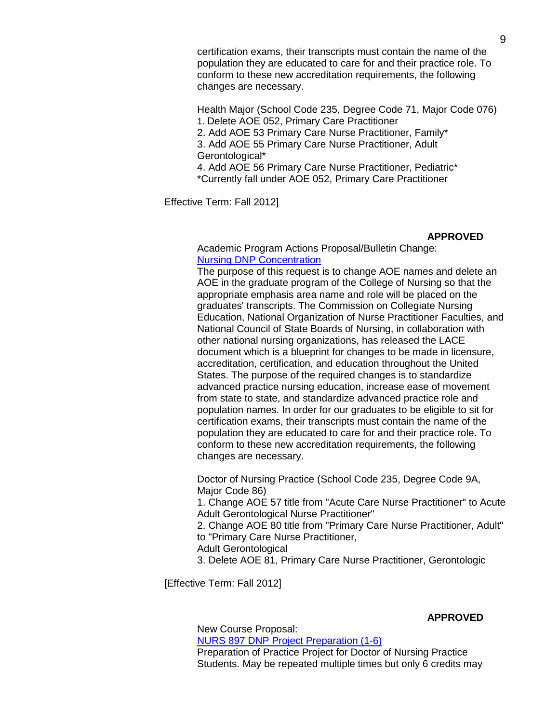certification exams, their transcripts must contain the name of the population they are educated to care for and their practice role. To conform to these new accreditation requirements, the following changes are necessary.

Health Major (School Code 235, Degree Code 71, Major Code 076) 1. Delete AOE 052, Primary Care Practitioner 2. Add AOE 53 Primary Care Nurse Practitioner, Family\* 3. Add AOE 55 Primary Care Nurse Practitioner, Adult Gerontological\* 4. Add AOE 56 Primary Care Nurse Practitioner, Pediatric\*

\*Currently fall under AOE 052, Primary Care Practitioner

Effective Term: Fall 2012]

# **APPROVED**

Academic Program Actions Proposal/Bulletin Change: [Nursing DNP Concentration](http://app.gradschool.sc.edu/includes/filedownload-public.asp?location=E:/GMS/GRADCOUNCIL/2011/APANURSDNP_201211.pdf&file_name=APANURSDNP_201211.pdf)

The purpose of this request is to change AOE names and delete an AOE in the graduate program of the College of Nursing so that the appropriate emphasis area name and role will be placed on the graduates' transcripts. The Commission on Collegiate Nursing Education, National Organization of Nurse Practitioner Faculties, and National Council of State Boards of Nursing, in collaboration with other national nursing organizations, has released the LACE document which is a blueprint for changes to be made in licensure, accreditation, certification, and education throughout the United States. The purpose of the required changes is to standardize advanced practice nursing education, increase ease of movement from state to state, and standardize advanced practice role and population names. In order for our graduates to be eligible to sit for certification exams, their transcripts must contain the name of the population they are educated to care for and their practice role. To conform to these new accreditation requirements, the following changes are necessary.

Doctor of Nursing Practice (School Code 235, Degree Code 9A, Major Code 86) 1. Change AOE 57 title from "Acute Care Nurse Practitioner" to Acute Adult Gerontological Nurse Practitioner" 2. Change AOE 80 title from "Primary Care Nurse Practitioner, Adult" to "Primary Care Nurse Practitioner, Adult Gerontological 3. Delete AOE 81, Primary Care Nurse Practitioner, Gerontologic

[Effective Term: Fall 2012]

## **APPROVED**

New Course Proposal: [NURS 897 DNP Project Preparation \(1-6\)](http://app.gradschool.sc.edu/includes/filedownload-public.asp?location=E:/GMS/GRADCOUNCIL/2011/NCPNURS897_201211.pdf&file_name=NCPNURS897_201211.pdf) Preparation of Practice Project for Doctor of Nursing Practice Students. May be repeated multiple times but only 6 credits may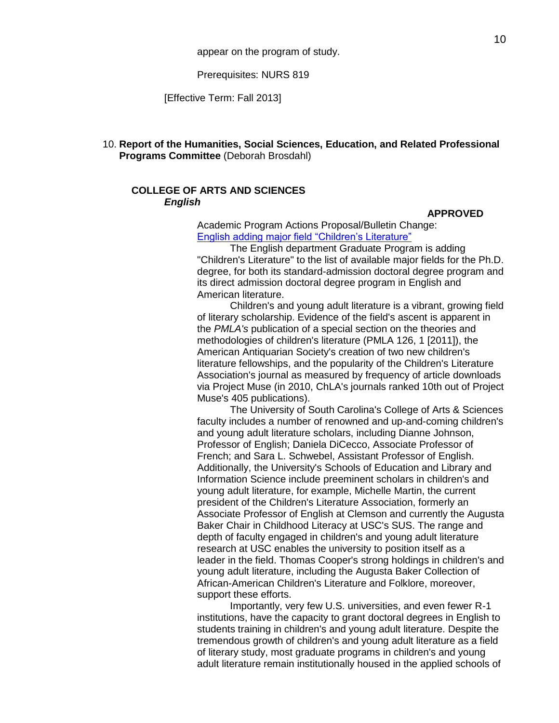Prerequisites: NURS 819

[Effective Term: Fall 2013]

## 10. **Report of the Humanities, Social Sciences, Education, and Related Professional Programs Committee** (Deborah Brosdahl)

## **COLLEGE OF ARTS AND SCIENCES** *English*

#### **APPROVED**

Academic Program Actions Proposal/Bulletin Change: [English adding major field "Children's Literature"](http://app.gradschool.sc.edu/includes/filedownload-public.asp?location=E:/GMS/GRADCOUNCIL/2011/APAENGCHILLIT_201211.pdf&file_name=APAENGCHILLIT_201211.pdf)

The English department Graduate Program is adding "Children's Literature" to the list of available major fields for the Ph.D. degree, for both its standard-admission doctoral degree program and its direct admission doctoral degree program in English and American literature.

Children's and young adult literature is a vibrant, growing field of literary scholarship. Evidence of the field's ascent is apparent in the *PMLA's* publication of a special section on the theories and methodologies of children's literature (PMLA 126, 1 [2011]), the American Antiquarian Society's creation of two new children's literature fellowships, and the popularity of the Children's Literature Association's journal as measured by frequency of article downloads via Project Muse (in 2010, ChLA's journals ranked 10th out of Project Muse's 405 publications).

The University of South Carolina's College of Arts & Sciences faculty includes a number of renowned and up-and-coming children's and young adult literature scholars, including Dianne Johnson, Professor of English; Daniela DiCecco, Associate Professor of French; and Sara L. Schwebel, Assistant Professor of English. Additionally, the University's Schools of Education and Library and Information Science include preeminent scholars in children's and young adult literature, for example, Michelle Martin, the current president of the Children's Literature Association, formerly an Associate Professor of English at Clemson and currently the Augusta Baker Chair in Childhood Literacy at USC's SUS. The range and depth of faculty engaged in children's and young adult literature research at USC enables the university to position itself as a leader in the field. Thomas Cooper's strong holdings in children's and young adult literature, including the Augusta Baker Collection of African-American Children's Literature and Folklore, moreover, support these efforts.

Importantly, very few U.S. universities, and even fewer R-1 institutions, have the capacity to grant doctoral degrees in English to students training in children's and young adult literature. Despite the tremendous growth of children's and young adult literature as a field of literary study, most graduate programs in children's and young adult literature remain institutionally housed in the applied schools of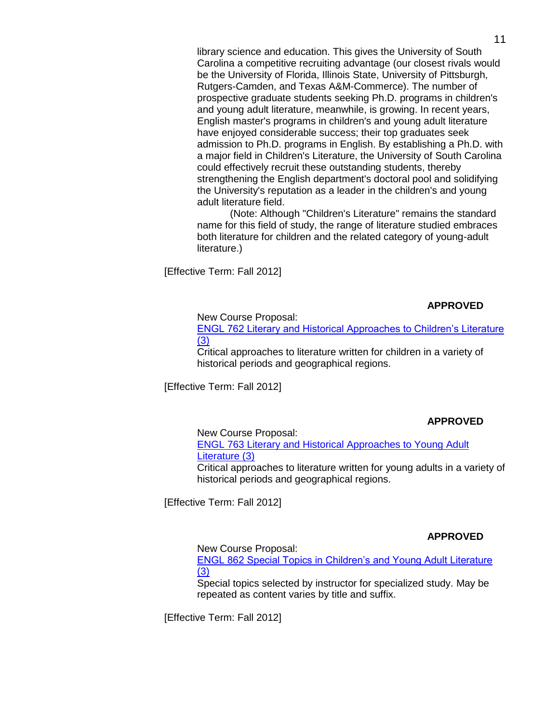library science and education. This gives the University of South Carolina a competitive recruiting advantage (our closest rivals would be the University of Florida, Illinois State, University of Pittsburgh, Rutgers-Camden, and Texas A&M-Commerce). The number of prospective graduate students seeking Ph.D. programs in children's and young adult literature, meanwhile, is growing. In recent years, English master's programs in children's and young adult literature have enjoyed considerable success; their top graduates seek admission to Ph.D. programs in English. By establishing a Ph.D. with a major field in Children's Literature, the University of South Carolina could effectively recruit these outstanding students, thereby strengthening the English department's doctoral pool and solidifying the University's reputation as a leader in the children's and young adult literature field.

(Note: Although "Children's Literature" remains the standard name for this field of study, the range of literature studied embraces both literature for children and the related category of young-adult literature.)

[Effective Term: Fall 2012]

## **APPROVED**

New Course Proposal:

[ENGL 762 Literary and Historical Approaches to Children's Literature](http://app.gradschool.sc.edu/includes/filedownload-public.asp?location=E:/GMS/GRADCOUNCIL/2011/NCPENGL762_201211.pdf&file_name=NCPENGL762_201211.pdf) [\(3\)](http://app.gradschool.sc.edu/includes/filedownload-public.asp?location=E:/GMS/GRADCOUNCIL/2011/NCPENGL762_201211.pdf&file_name=NCPENGL762_201211.pdf)

Critical approaches to literature written for children in a variety of historical periods and geographical regions.

[Effective Term: Fall 2012]

# **APPROVED**

New Course Proposal:

ENGL [763 Literary and Historical Approaches to Young Adult](http://app.gradschool.sc.edu/includes/filedownload-public.asp?location=E:/GMS/GRADCOUNCIL/2011/NCPENGL763_201211.pdf&file_name=NCPENGL763_201211.pdf) [Literature \(3\)](http://app.gradschool.sc.edu/includes/filedownload-public.asp?location=E:/GMS/GRADCOUNCIL/2011/NCPENGL763_201211.pdf&file_name=NCPENGL763_201211.pdf)

Critical approaches to literature written for young adults in a variety of historical periods and geographical regions.

[Effective Term: Fall 2012]

# **APPROVED**

New Course Proposal:

[ENGL 862 Special Topics in Children's and Young Adult Literature](http://app.gradschool.sc.edu/includes/filedownload-public.asp?location=E:/GMS/GRADCOUNCIL/2011/NCPENGL862_201211.pdf&file_name=NCPENGL862_201211.pdf) [\(3\)](http://app.gradschool.sc.edu/includes/filedownload-public.asp?location=E:/GMS/GRADCOUNCIL/2011/NCPENGL862_201211.pdf&file_name=NCPENGL862_201211.pdf)

Special topics selected by instructor for specialized study. May be repeated as content varies by title and suffix.

[Effective Term: Fall 2012]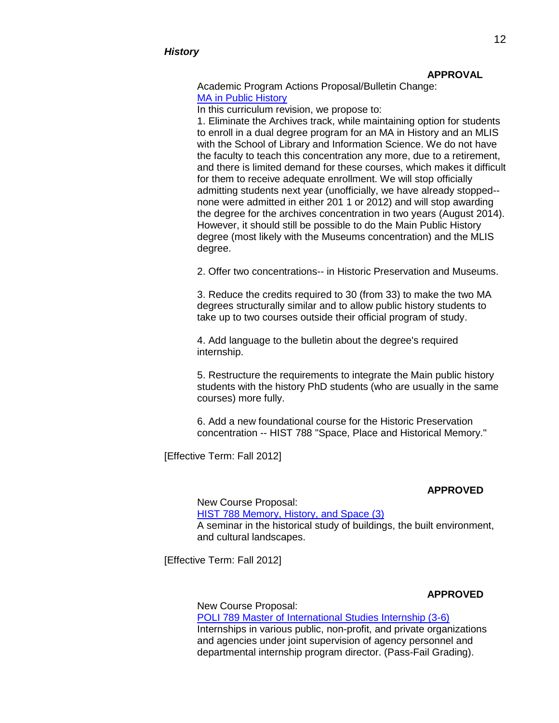#### **APPROVAL**

Academic Program Actions Proposal/Bulletin Change: [MA in Public History](http://app.gradschool.sc.edu/includes/filedownload-public.asp?location=E:/GMS/GRADCOUNCIL/2011/APAPUBLICHISTORYMA_201211.pdf&file_name=APAPUBLICHISTORYMA_201211.pdf)

In this curriculum revision, we propose to:

1. Eliminate the Archives track, while maintaining option for students to enroll in a dual degree program for an MA in History and an MLIS with the School of Library and Information Science. We do not have the faculty to teach this concentration any more, due to a retirement, and there is limited demand for these courses, which makes it difficult for them to receive adequate enrollment. We will stop officially admitting students next year (unofficially, we have already stopped- none were admitted in either 201 1 or 2012) and will stop awarding the degree for the archives concentration in two years (August 2014). However, it should still be possible to do the Main Public History degree (most likely with the Museums concentration) and the MLIS degree.

2. Offer two concentrations-- in Historic Preservation and Museums.

3. Reduce the credits required to 30 (from 33) to make the two MA degrees structurally similar and to allow public history students to take up to two courses outside their official program of study.

4. Add language to the bulletin about the degree's required internship.

5. Restructure the requirements to integrate the Main public history students with the history PhD students (who are usually in the same courses) more fully.

6. Add a new foundational course for the Historic Preservation concentration -- HIST 788 "Space, Place and Historical Memory."

[Effective Term: Fall 2012]

#### **APPROVED**

New Course Proposal: HIST 788 [Memory, History, and Space](http://app.gradschool.sc.edu/includes/filedownload-public.asp?location=E:/GMS/GRADCOUNCIL/2011/NCPHIST788_201211.pdf&file_name=NCPHIST788_201211.pdf) (3) A seminar in the historical study of buildings, the built environment, and cultural landscapes.

[Effective Term: Fall 2012]

## **APPROVED**

New Course Proposal: [POLI 789 Master of International Studies Internship \(3-6\)](http://app.gradschool.sc.edu/includes/filedownload-public.asp?location=E:/GMS/GRADCOUNCIL/2011/NCPPOLI789_201211.pdf&file_name=NCPPOLI789_201211.pdf) Internships in various public, non-profit, and private organizations and agencies under joint supervision of agency personnel and departmental internship program director. (Pass-Fail Grading).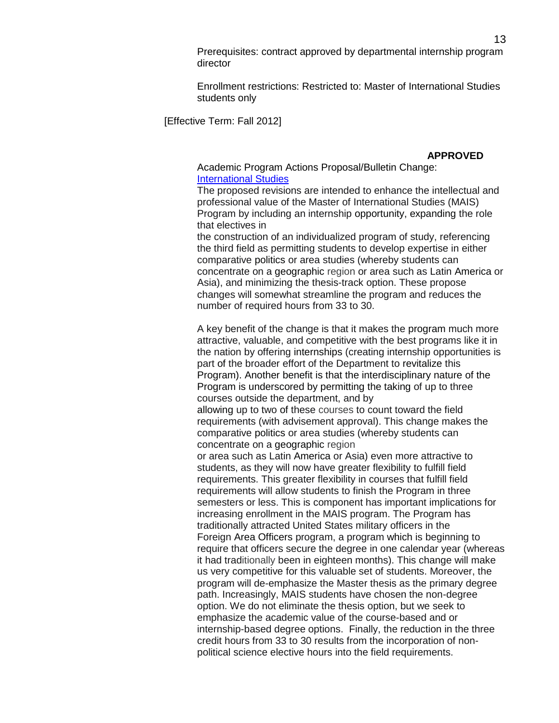Prerequisites: contract approved by departmental internship program director

Enrollment restrictions: Restricted to: Master of International Studies students only

[Effective Term: Fall 2012]

**APPROVED**

Academic Program Actions Proposal/Bulletin Change: [International Studies](http://app.gradschool.sc.edu/includes/filedownload-public.asp?location=E:/GMS/GRADCOUNCIL/2011/APAIntlStudies_201211.pdf&file_name=APAIntlStudies_201211.pdf)

The proposed revisions are intended to enhance the intellectual and professional value of the Master of International Studies (MAIS) Program by including an internship opportunity, expanding the role that electives in

the construction of an individualized program of study, referencing the third field as permitting students to develop expertise in either comparative politics or area studies (whereby students can concentrate on a geographic region or area such as Latin America or Asia), and minimizing the thesis-track option. These propose changes will somewhat streamline the program and reduces the number of required hours from 33 to 30.

A key benefit of the change is that it makes the program much more attractive, valuable, and competitive with the best programs like it in the nation by offering internships (creating internship opportunities is part of the broader effort of the Department to revitalize this Program). Another benefit is that the interdisciplinary nature of the Program is underscored by permitting the taking of up to three courses outside the department, and by

allowing up to two of these courses to count toward the field requirements (with advisement approval). This change makes the comparative politics or area studies (whereby students can concentrate on a geographic region

or area such as Latin America or Asia) even more attractive to students, as they will now have greater flexibility to fulfill field requirements. This greater flexibility in courses that fulfill field requirements will allow students to finish the Program in three semesters or less. This is component has important implications for increasing enrollment in the MAIS program. The Program has traditionally attracted United States military officers in the Foreign Area Officers program, a program which is beginning to require that officers secure the degree in one calendar year (whereas it had traditionally been in eighteen months). This change will make us very competitive for this valuable set of students. Moreover, the program will de-emphasize the Master thesis as the primary degree path. Increasingly, MAIS students have chosen the non-degree option. We do not eliminate the thesis option, but we seek to emphasize the academic value of the course-based and or internship-based degree options. Finally, the reduction in the three credit hours from 33 to 30 results from the incorporation of nonpolitical science elective hours into the field requirements.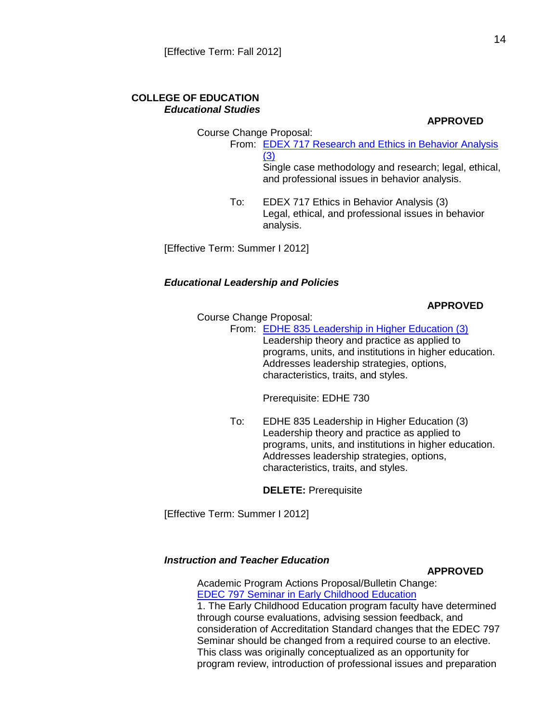## **COLLEGE OF EDUCATION** *Educational Studies*

**APPROVED**

Course Change Proposal: From: [EDEX 717 Research and Ethics in Behavior Analysis](http://app.gradschool.sc.edu/includes/filedownload-public.asp?location=E:/GMS/GRADCOUNCIL/2011/CCPEDEX717_201211.pdf&file_name=CCPEDEX717_201211.pdf) [\(3\)](http://app.gradschool.sc.edu/includes/filedownload-public.asp?location=E:/GMS/GRADCOUNCIL/2011/CCPEDEX717_201211.pdf&file_name=CCPEDEX717_201211.pdf)

Single case methodology and research; legal, ethical, and professional issues in behavior analysis.

To: EDEX 717 Ethics in Behavior Analysis (3) Legal, ethical, and professional issues in behavior analysis.

[Effective Term: Summer I 2012]

## *Educational Leadership and Policies*

## **APPROVED**

Course Change Proposal:

From: [EDHE 835 Leadership in Higher Education \(3\)](http://app.gradschool.sc.edu/includes/filedownload-public.asp?location=E:/GMS/GRADCOUNCIL/2011/CCPEDHE835_201211.pdf&file_name=CCPEDHE835_201211.pdf) Leadership theory and practice as applied to programs, units, and institutions in higher education. Addresses leadership strategies, options, characteristics, traits, and styles.

Prerequisite: EDHE 730

To: EDHE 835 Leadership in Higher Education (3) Leadership theory and practice as applied to programs, units, and institutions in higher education. Addresses leadership strategies, options, characteristics, traits, and styles.

**DELETE:** Prerequisite

[Effective Term: Summer I 2012]

# *Instruction and Teacher Education*

## **APPROVED**

Academic Program Actions Proposal/Bulletin Change: [EDEC 797 Seminar in Early Childhood Education](http://app.gradschool.sc.edu/includes/filedownload-public.asp?location=E:/GMS/GRADCOUNCIL/2011/APAEDEC797_201211.pdf&file_name=APAEDEC797_201211.pdf) 1. The Early Childhood Education program faculty have determined through course evaluations, advising session feedback, and consideration of Accreditation Standard changes that the EDEC 797 Seminar should be changed from a required course to an elective. This class was originally conceptualized as an opportunity for program review, introduction of professional issues and preparation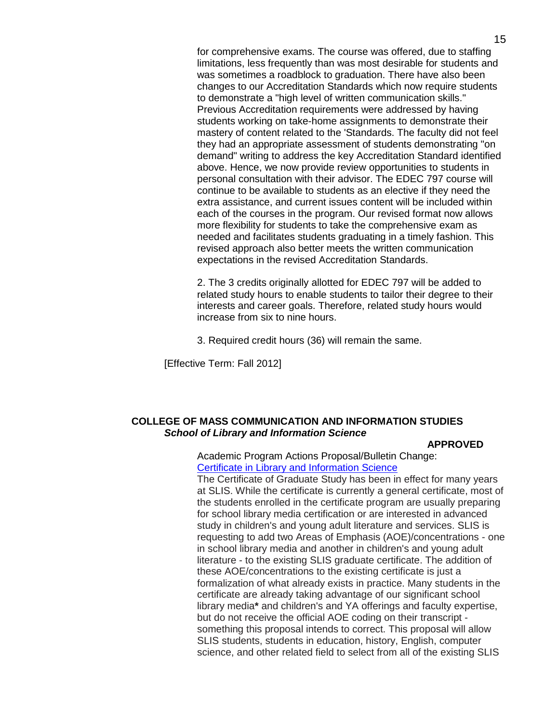for comprehensive exams. The course was offered, due to staffing limitations, less frequently than was most desirable for students and was sometimes a roadblock to graduation. There have also been changes to our Accreditation Standards which now require students to demonstrate a "high level of written communication skills." Previous Accreditation requirements were addressed by having students working on take-home assignments to demonstrate their mastery of content related to the 'Standards. The faculty did not feel they had an appropriate assessment of students demonstrating "on demand" writing to address the key Accreditation Standard identified above. Hence, we now provide review opportunities to students in personal consultation with their advisor. The EDEC 797 course will continue to be available to students as an elective if they need the extra assistance, and current issues content will be included within each of the courses in the program. Our revised format now allows more flexibility for students to take the comprehensive exam as needed and facilitates students graduating in a timely fashion. This revised approach also better meets the written communication expectations in the revised Accreditation Standards.

2. The 3 credits originally allotted for EDEC 797 will be added to related study hours to enable students to tailor their degree to their interests and career goals. Therefore, related study hours would increase from six to nine hours.

3. Required credit hours (36) will remain the same.

[Effective Term: Fall 2012]

# **COLLEGE OF MASS COMMUNICATION AND INFORMATION STUDIES** *School of Library and Information Science*

### **APPROVED**

Academic Program Actions Proposal/Bulletin Change: [Certificate in Library and Information Science](http://app.gradschool.sc.edu/includes/filedownload-public.asp?location=E:/GMS/GRADCOUNCIL/2011/APASLISCERT_201211.pdf&file_name=APASLISCERT_201211.pdf)

The Certificate of Graduate Study has been in effect for many years at SLIS. While the certificate is currently a general certificate, most of the students enrolled in the certificate program are usually preparing for school library media certification or are interested in advanced study in children's and young adult literature and services. SLIS is requesting to add two Areas of Emphasis (AOE)/concentrations - one in school library media and another in children's and young adult literature - to the existing SLIS graduate certificate. The addition of these AOE/concentrations to the existing certificate is just a formalization of what already exists in practice. Many students in the certificate are already taking advantage of our significant school library media**\*** and children's and YA offerings and faculty expertise, but do not receive the official AOE coding on their transcript something this proposal intends to correct. This proposal will allow SLIS students, students in education, history, English, computer science, and other related field to select from all of the existing SLIS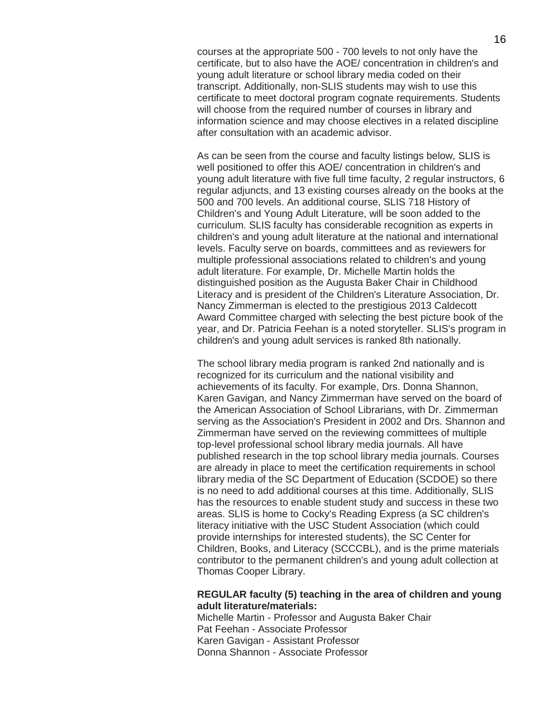courses at the appropriate 500 - 700 levels to not only have the certificate, but to also have the AOE/ concentration in children's and young adult literature or school library media coded on their transcript. Additionally, non-SLIS students may wish to use this certificate to meet doctoral program cognate requirements. Students will choose from the required number of courses in library and information science and may choose electives in a related discipline after consultation with an academic advisor.

As can be seen from the course and faculty listings below, SLIS is well positioned to offer this AOE/ concentration in children's and young adult literature with five full time faculty, 2 regular instructors, 6 regular adjuncts, and 13 existing courses already on the books at the 500 and 700 levels. An additional course, SLIS 718 History of Children's and Young Adult Literature, will be soon added to the curriculum. SLIS faculty has considerable recognition as experts in children's and young adult literature at the national and international levels. Faculty serve on boards, committees and as reviewers for multiple professional associations related to children's and young adult literature. For example, Dr. Michelle Martin holds the distinguished position as the Augusta Baker Chair in Childhood Literacy and is president of the Children's Literature Association, Dr. Nancy Zimmerman is elected to the prestigious 2013 Caldecott Award Committee charged with selecting the best picture book of the year, and Dr. Patricia Feehan is a noted storyteller. SLIS's program in children's and young adult services is ranked 8th nationally.

The school library media program is ranked 2nd nationally and is recognized for its curriculum and the national visibility and achievements of its faculty. For example, Drs. Donna Shannon, Karen Gavigan, and Nancy Zimmerman have served on the board of the American Association of School Librarians, with Dr. Zimmerman serving as the Association's President in 2002 and Drs. Shannon and Zimmerman have served on the reviewing committees of multiple top-level professional school library media journals. All have published research in the top school library media journals. Courses are already in place to meet the certification requirements in school library media of the SC Department of Education (SCDOE) so there is no need to add additional courses at this time. Additionally, SLIS has the resources to enable student study and success in these two areas. SLIS is home to Cocky's Reading Express (a SC children's literacy initiative with the USC Student Association (which could provide internships for interested students), the SC Center for Children, Books, and Literacy (SCCCBL), and is the prime materials contributor to the permanent children's and young adult collection at Thomas Cooper Library.

## **REGULAR faculty (5) teaching in the area of children and young adult literature/materials:**

Michelle Martin - Professor and Augusta Baker Chair Pat Feehan - Associate Professor Karen Gavigan - Assistant Professor Donna Shannon - Associate Professor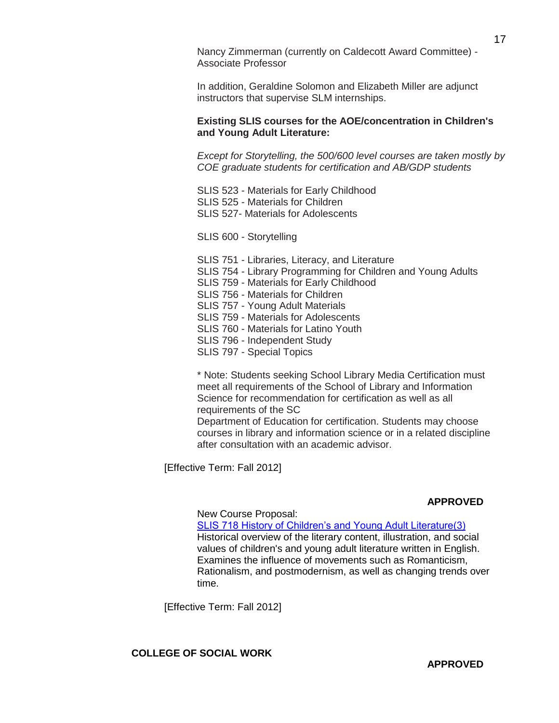Nancy Zimmerman (currently on Caldecott Award Committee) - Associate Professor

In addition, Geraldine Solomon and Elizabeth Miller are adjunct instructors that supervise SLM internships.

### **Existing SLIS courses for the AOE/concentration in Children's and Young Adult Literature:**

*Except for Storytelling, the 500/600 level courses are taken mostly by COE graduate students for certification and AB/GDP students*

- SLIS 523 Materials for Early Childhood SLIS 525 - Materials for Children SLIS 527- Materials for Adolescents
- SLIS 600 Storytelling
- SLIS 751 Libraries, Literacy, and Literature SLIS 754 - Library Programming for Children and Young Adults SLIS 759 - Materials for Early Childhood SLIS 756 - Materials for Children SLIS 757 - Young Adult Materials SLIS 759 - Materials for Adolescents SLIS 760 - Materials for Latino Youth SLIS 796 - Independent Study SLIS 797 - Special Topics

\* Note: Students seeking School Library Media Certification must meet all requirements of the School of Library and Information Science for recommendation for certification as well as all requirements of the SC

Department of Education for certification. Students may choose courses in library and information science or in a related discipline after consultation with an academic advisor.

[Effective Term: Fall 2012]

### **APPROVED**

### New Course Proposal:

[SLIS 718 History of Children's and Young Adult Literature\(3\)](http://app.gradschool.sc.edu/includes/filedownload-public.asp?location=E:/GMS/GRADCOUNCIL/2011/NCPSLIS718_201211.pdf&file_name=NCPSLIS718_201211.pdf) Historical overview of the literary content, illustration, and social values of children's and young adult literature written in English. Examines the influence of movements such as Romanticism, Rationalism, and postmodernism, as well as changing trends over time.

[Effective Term: Fall 2012]

**COLLEGE OF SOCIAL WORK**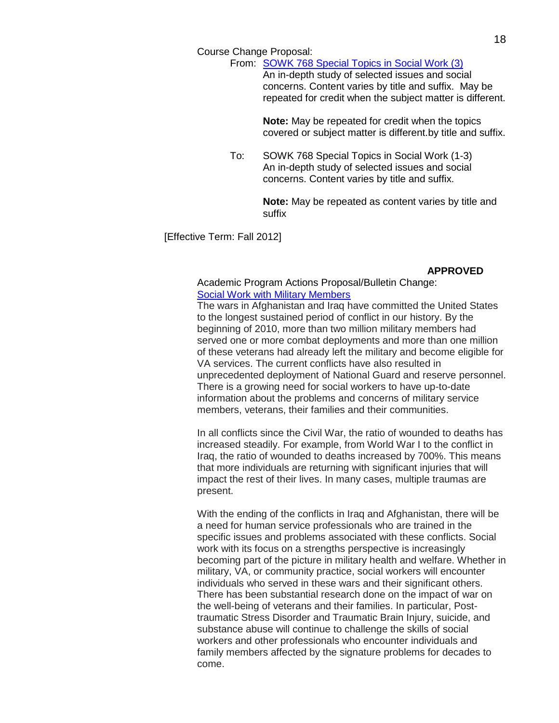Course Change Proposal:

From: [SOWK 768 Special Topics in Social Work \(3\)](http://app.gradschool.sc.edu/includes/filedownload-public.asp?location=E:/GMS/GRADCOUNCIL/2011/CCPSOWK768_201211.pdf&file_name=CCPSOWK768_201211.pdf) An in-depth study of selected issues and social concerns. Content varies by title and suffix. May be repeated for credit when the subject matter is different.

> **Note:** May be repeated for credit when the topics covered or subject matter is different.by title and suffix.

To: SOWK 768 Special Topics in Social Work (1-3) An in-depth study of selected issues and social concerns. Content varies by title and suffix.

> **Note:** May be repeated as content varies by title and suffix

[Effective Term: Fall 2012]

## **APPROVED**

### Academic Program Actions Proposal/Bulletin Change: [Social Work with Military Members](http://app.gradschool.sc.edu/includes/filedownload-public.asp?location=E:/GMS/GRADCOUNCIL/2011/APASOWKMilitary_201211.pdf&file_name=APASOWKMilitary_201211.pdf)

The wars in Afghanistan and Iraq have committed the United States to the longest sustained period of conflict in our history. By the beginning of 2010, more than two million military members had served one or more combat deployments and more than one million of these veterans had already left the military and become eligible for VA services. The current conflicts have also resulted in unprecedented deployment of National Guard and reserve personnel. There is a growing need for social workers to have up-to-date information about the problems and concerns of military service members, veterans, their families and their communities.

In all conflicts since the Civil War, the ratio of wounded to deaths has increased steadily. For example, from World War I to the conflict in Iraq, the ratio of wounded to deaths increased by 700%. This means that more individuals are returning with significant injuries that will impact the rest of their lives. In many cases, multiple traumas are present.

With the ending of the conflicts in Iraq and Afghanistan, there will be a need for human service professionals who are trained in the specific issues and problems associated with these conflicts. Social work with its focus on a strengths perspective is increasingly becoming part of the picture in military health and welfare. Whether in military, VA, or community practice, social workers will encounter individuals who served in these wars and their significant others. There has been substantial research done on the impact of war on the well-being of veterans and their families. In particular, Posttraumatic Stress Disorder and Traumatic Brain Injury, suicide, and substance abuse will continue to challenge the skills of social workers and other professionals who encounter individuals and family members affected by the signature problems for decades to come.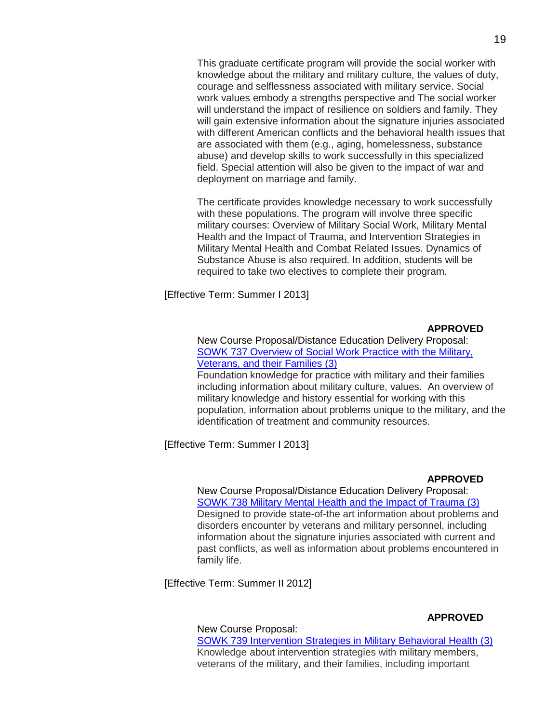This graduate certificate program will provide the social worker with knowledge about the military and military culture, the values of duty, courage and selflessness associated with military service. Social work values embody a strengths perspective and The social worker will understand the impact of resilience on soldiers and family. They will gain extensive information about the signature injuries associated with different American conflicts and the behavioral health issues that are associated with them (e.g., aging, homelessness, substance abuse) and develop skills to work successfully in this specialized field. Special attention will also be given to the impact of war and deployment on marriage and family.

The certificate provides knowledge necessary to work successfully with these populations. The program will involve three specific military courses: Overview of Military Social Work, Military Mental Health and the Impact of Trauma, and Intervention Strategies in Military Mental Health and Combat Related Issues. Dynamics of Substance Abuse is also required. In addition, students will be required to take two electives to complete their program.

[Effective Term: Summer I 2013]

## **APPROVED**

New Course Proposal/Distance Education Delivery Proposal: [SOWK 737 Overview of Social Work Practice with the Military,](http://app.gradschool.sc.edu/includes/filedownload-public.asp?location=E:/GMS/GRADCOUNCIL/2011/NCPSOWK737_201211.pdf&file_name=NCPSOWK737_201211.pdf) [Veterans, and their Families \(3\)](http://app.gradschool.sc.edu/includes/filedownload-public.asp?location=E:/GMS/GRADCOUNCIL/2011/NCPSOWK737_201211.pdf&file_name=NCPSOWK737_201211.pdf)

Foundation knowledge for practice with military and their families including information about military culture, values. An overview of military knowledge and history essential for working with this population, information about problems unique to the military, and the identification of treatment and community resources.

[Effective Term: Summer I 2013]

#### **APPROVED**

New Course Proposal/Distance Education Delivery Proposal: [SOWK 738 Military Mental Health and the Impact of Trauma \(3\)](http://app.gradschool.sc.edu/includes/filedownload-public.asp?location=E:/GMS/GRADCOUNCIL/2011/NCPSOWK738_201211.pdf&file_name=NCPSOWK738_201211.pdf) Designed to provide state-of-the art information about problems and disorders encounter by veterans and military personnel, including information about the signature injuries associated with current and past conflicts, as well as information about problems encountered in family life.

[Effective Term: Summer II 2012]

### **APPROVED**

#### New Course Proposal:

[SOWK 739 Intervention Strategies in Military Behavioral Health \(3\)](http://app.gradschool.sc.edu/includes/filedownload-public.asp?location=E:/GMS/GRADCOUNCIL/2011/NCPSOWK739_201211.pdf&file_name=NCPSOWK739_201211.pdf) Knowledge about intervention strategies with military members, veterans of the military, and their families, including important